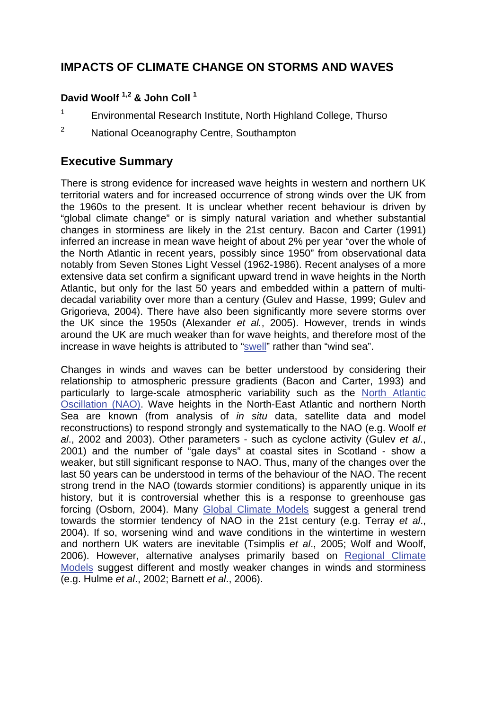## **IMPACTS OF CLIMATE CHANGE ON STORMS AND WAVES**

### **David Woolf 1,2 & John Coll 1**

- 1 Environmental Research Institute, North Highland College, Thurso
- 2 National Oceanography Centre, Southampton

### **Executive Summary**

There is strong evidence for increased wave heights in western and northern UK territorial waters and for increased occurrence of strong winds over the UK from the 1960s to the present. It is unclear whether recent behaviour is driven by "global climate change" or is simply natural variation and whether substantial changes in storminess are likely in the 21st century. Bacon and Carter (1991) inferred an increase in mean wave height of about 2% per year "over the whole of the North Atlantic in recent years, possibly since 1950" from observational data notably from Seven Stones Light Vessel (1962-1986). Recent analyses of a more extensive data set confirm a significant upward trend in wave heights in the North Atlantic, but only for the last 50 years and embedded within a pattern of multidecadal variability over more than a century (Gulev and Hasse, 1999; Gulev and Grigorieva, 2004). There have also been significantly more severe storms over the UK since the 1950s (Alexander *et al.*, 2005). However, trends in winds around the UK are much weaker than for wave heights, and therefore most of the increase in wave heights is attributed to ["swell"](http://www.mccip.org.uk/arc/glossary.htm) rather than "wind sea".

Changes in winds and waves can be better understood by considering their relationship to atmospheric pressure gradients (Bacon and Carter, 1993) and particularly to large-scale atmospheric variability such as the [North Atlantic](http://www.mccip.org.uk/arc/glossary.htm)  [Oscillation \(NAO\).](http://www.mccip.org.uk/arc/glossary.htm) Wave heights in the North-East Atlantic and northern North Sea are known (from analysis of *in situ* data, satellite data and model reconstructions) to respond strongly and systematically to the NAO (e.g. Woolf *et al*., 2002 and 2003). Other parameters - such as cyclone activity (Gulev *et al*., 2001) and the number of "gale days" at coastal sites in Scotland - show a weaker, but still significant response to NAO. Thus, many of the changes over the last 50 years can be understood in terms of the behaviour of the NAO. The recent strong trend in the NAO (towards stormier conditions) is apparently unique in its history, but it is controversial whether this is a response to greenhouse gas forcing (Osborn, 2004). Many [Global Climate Models](http://www.mccip.org.uk/arc/glossary.htm) suggest a general trend towards the stormier tendency of NAO in the 21st century (e.g. Terray *et al*., 2004). If so, worsening wind and wave conditions in the wintertime in western and northern UK waters are inevitable (Tsimplis *et al*., 2005; Wolf and Woolf, 2006). However, alternative analyses primarily based on [Regional Climate](http://www.mccip.org.uk/arc/glossary.htm)  [Models](http://www.mccip.org.uk/arc/glossary.htm) suggest different and mostly weaker changes in winds and storminess (e.g. Hulme *et al*., 2002; Barnett *et al*., 2006).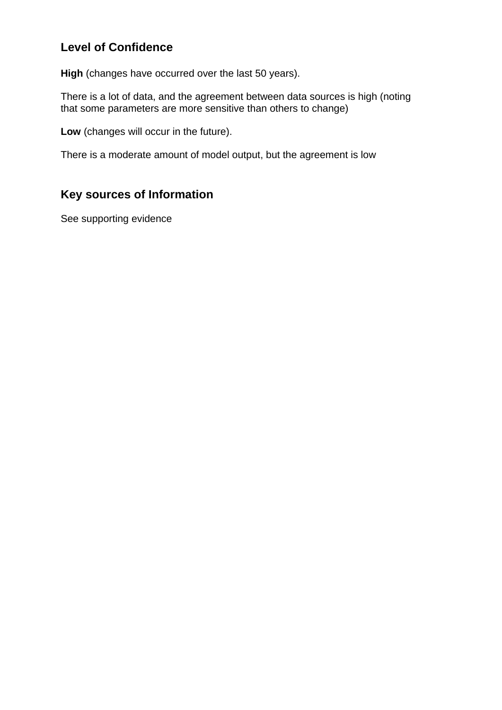# **Level of Confidence**

**High** (changes have occurred over the last 50 years).

There is a lot of data, and the agreement between data sources is high (noting that some parameters are more sensitive than others to change)

**Low** (changes will occur in the future).

There is a moderate amount of model output, but the agreement is low

# **Key sources of Information**

See supporting evidence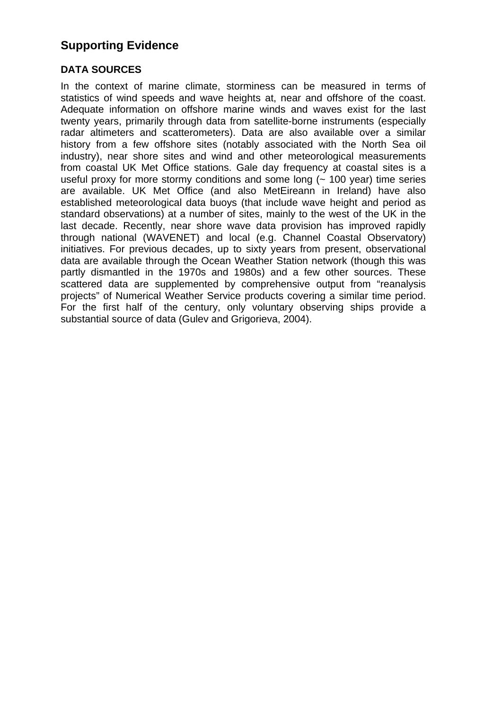## **Supporting Evidence**

#### **DATA SOURCES**

In the context of marine climate, storminess can be measured in terms of statistics of wind speeds and wave heights at, near and offshore of the coast. Adequate information on offshore marine winds and waves exist for the last twenty years, primarily through data from satellite-borne instruments (especially radar altimeters and scatterometers). Data are also available over a similar history from a few offshore sites (notably associated with the North Sea oil industry), near shore sites and wind and other meteorological measurements from coastal UK Met Office stations. Gale day frequency at coastal sites is a useful proxy for more stormy conditions and some long (~ 100 year) time series are available. UK Met Office (and also MetEireann in Ireland) have also established meteorological data buoys (that include wave height and period as standard observations) at a number of sites, mainly to the west of the UK in the last decade. Recently, near shore wave data provision has improved rapidly through national (WAVENET) and local (e.g. Channel Coastal Observatory) initiatives. For previous decades, up to sixty years from present, observational data are available through the Ocean Weather Station network (though this was partly dismantled in the 1970s and 1980s) and a few other sources. These scattered data are supplemented by comprehensive output from "reanalysis projects" of Numerical Weather Service products covering a similar time period. For the first half of the century, only voluntary observing ships provide a substantial source of data (Gulev and Grigorieva, 2004).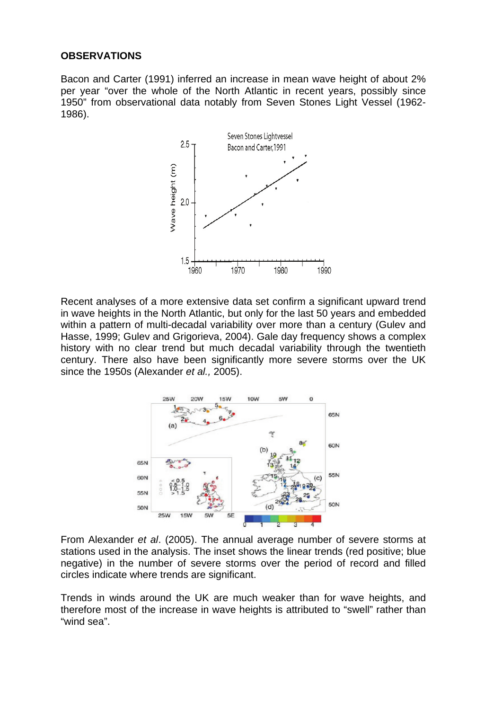#### **OBSERVATIONS**

Bacon and Carter (1991) inferred an increase in mean wave height of about 2% per year "over the whole of the North Atlantic in recent years, possibly since 1950" from observational data notably from Seven Stones Light Vessel (1962- 1986).



Recent analyses of a more extensive data set confirm a significant upward trend in wave heights in the North Atlantic, but only for the last 50 years and embedded within a pattern of multi-decadal variability over more than a century (Gulev and Hasse, 1999; Gulev and Grigorieva, 2004). Gale day frequency shows a complex history with no clear trend but much decadal variability through the twentieth century. There also have been significantly more severe storms over the UK since the 1950s (Alexander *et al.,* 2005).



From Alexander *et al*. (2005). The annual average number of severe storms at stations used in the analysis. The inset shows the linear trends (red positive; blue negative) in the number of severe storms over the period of record and filled circles indicate where trends are significant.

Trends in winds around the UK are much weaker than for wave heights, and therefore most of the increase in wave heights is attributed to "swell" rather than "wind sea".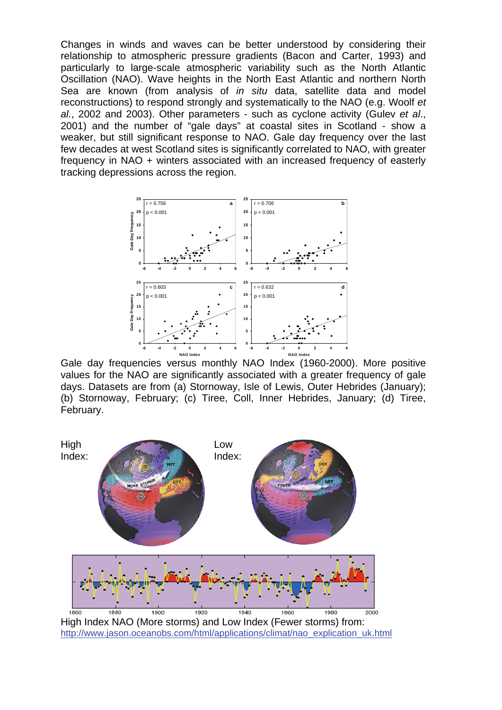Changes in winds and waves can be better understood by considering their relationship to atmospheric pressure gradients (Bacon and Carter, 1993) and particularly to large-scale atmospheric variability such as the North Atlantic Oscillation (NAO). Wave heights in the North East Atlantic and northern North Sea are known (from analysis of *in situ* data, satellite data and model reconstructions) to respond strongly and systematically to the NAO (e.g. Woolf *et al.*, 2002 and 2003). Other parameters - such as cyclone activity (Gulev *et al*., 2001) and the number of "gale days" at coastal sites in Scotland - show a weaker, but still significant response to NAO. Gale day frequency over the last few decades at west Scotland sites is significantly correlated to NAO, with greater frequency in NAO + winters associated with an increased frequency of easterly tracking depressions across the region.



Gale day frequencies versus monthly NAO Index (1960-2000). More positive values for the NAO are significantly associated with a greater frequency of gale days. Datasets are from (a) Stornoway, Isle of Lewis, Outer Hebrides (January); (b) Stornoway, February; (c) Tiree, Coll, Inner Hebrides, January; (d) Tiree, February.

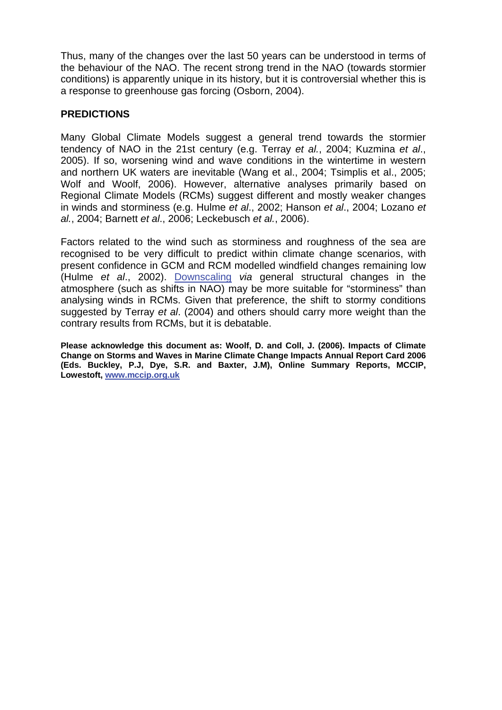Thus, many of the changes over the last 50 years can be understood in terms of the behaviour of the NAO. The recent strong trend in the NAO (towards stormier conditions) is apparently unique in its history, but it is controversial whether this is a response to greenhouse gas forcing (Osborn, 2004).

#### **PREDICTIONS**

Many Global Climate Models suggest a general trend towards the stormier tendency of NAO in the 21st century (e.g. Terray *et al.*, 2004; Kuzmina *et al.*, 2005). If so, worsening wind and wave conditions in the wintertime in western and northern UK waters are inevitable (Wang et al., 2004; Tsimplis et al., 2005; Wolf and Woolf, 2006). However, alternative analyses primarily based on Regional Climate Models (RCMs) suggest different and mostly weaker changes in winds and storminess (e.g. Hulme *et al*., 2002; Hanson *et al*., 2004; Lozano *et al.*, 2004; Barnett *et al*., 2006; Leckebusch *et al.*, 2006).

Factors related to the wind such as storminess and roughness of the sea are recognised to be very difficult to predict within climate change scenarios, with present confidence in GCM and RCM modelled windfield changes remaining low (Hulme *et al*., 2002). Downscaling *via* general structural changes in the atmosphere (such as shifts in NAO) may be more suitable for "storminess" than analysing winds in RCMs. Given that preference, the shift to stormy conditions suggested by Terray *et al*. (2004) and others should carry more weight than the contrary results from RCMs, but it is debatable.

**Please acknowledge this document as: Woolf, D. and Coll, J. (2006). Impacts of Climate Change on Storms and Waves in Marine Climate Change Impacts Annual Report Card 2006 (Eds. Buckley, P.J, Dye, S.R. and Baxter, J.M), Online Summary Reports, MCCIP, Lowestoft, [www.mccip.org.uk](http://www.mccip.org.uk/)**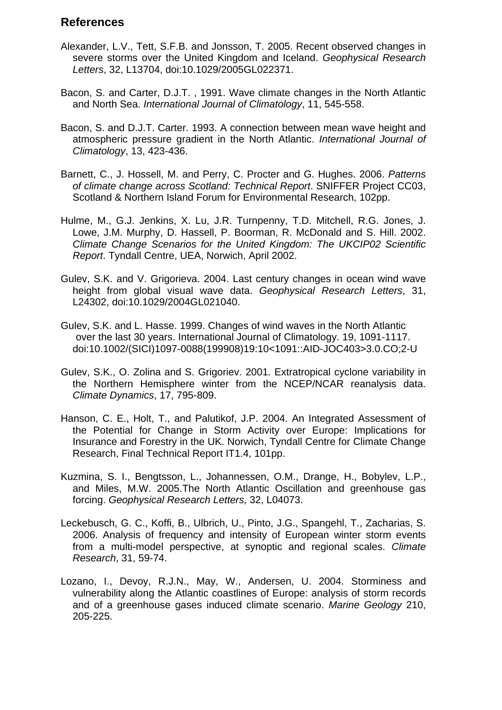### **References**

- Alexander, L.V., Tett, S.F.B. and Jonsson, T. 2005. Recent observed changes in severe storms over the United Kingdom and Iceland. *Geophysical Research Letters*, 32, L13704, doi:10.1029/2005GL022371.
- Bacon, S. and Carter, D.J.T. , 1991. Wave climate changes in the North Atlantic and North Sea. *International Journal of Climatology*, 11, 545-558.
- Bacon, S. and D.J.T. Carter. 1993. A connection between mean wave height and atmospheric pressure gradient in the North Atlantic. *International Journal of Climatology*, 13, 423-436.
- Barnett, C., J. Hossell, M. and Perry, C. Procter and G. Hughes. 2006. *Patterns of climate change across Scotland: Technical Report*. SNIFFER Project CC03, Scotland & Northern Island Forum for Environmental Research, 102pp.
- Hulme, M., G.J. Jenkins, X. Lu, J.R. Turnpenny, T.D. Mitchell, R.G. Jones, J. Lowe, J.M. Murphy, D. Hassell, P. Boorman, R. McDonald and S. Hill. 2002. *Climate Change Scenarios for the United Kingdom: The UKCIP02 Scientific Report*. Tyndall Centre, UEA, Norwich, April 2002.
- Gulev, S.K. and V. Grigorieva. 2004. Last century changes in ocean wind wave height from global visual wave data. *Geophysical Research Letters*, 31, L24302, doi:10.1029/2004GL021040.
- Gulev, S.K. and L. Hasse. 1999. Changes of wind waves in the North Atlantic over the last 30 years. International Journal of Climatology. 19, 1091-1117. doi:10.1002/(SICI)1097-0088(199908)19:10<1091::AID-JOC403>3.0.CO;2-U
- Gulev, S.K., O. Zolina and S. Grigoriev. 2001. Extratropical cyclone variability in the Northern Hemisphere winter from the NCEP/NCAR reanalysis data. *Climate Dynamics*, 17, 795-809.
- Hanson, C. E., Holt, T., and Palutikof, J.P. 2004. An Integrated Assessment of the Potential for Change in Storm Activity over Europe: Implications for Insurance and Forestry in the UK. Norwich, Tyndall Centre for Climate Change Research, Final Technical Report IT1.4, 101pp.
- Kuzmina, S. I., Bengtsson, L., Johannessen, O.M., Drange, H., Bobylev, L.P., and Miles, M.W. 2005.The North Atlantic Oscillation and greenhouse gas forcing. *Geophysical Research Letters,* 32, L04073.
- Leckebusch, G. C., Koffi, B., Ulbrich, U., Pinto, J.G., Spangehl, T., Zacharias, S. 2006. Analysis of frequency and intensity of European winter storm events from a multi-model perspective, at synoptic and regional scales. *Climate Research*, 31, 59-74.
- Lozano, I., Devoy, R.J.N., May, W., Andersen, U. 2004. Storminess and vulnerability along the Atlantic coastlines of Europe: analysis of storm records and of a greenhouse gases induced climate scenario. *Marine Geology* 210, 205-225.